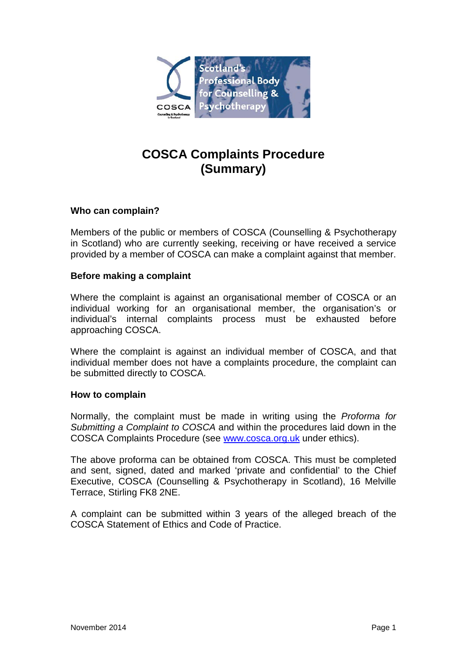

# **COSCA Complaints Procedure (Summary)**

# **Who can complain?**

Members of the public or members of COSCA (Counselling & Psychotherapy in Scotland) who are currently seeking, receiving or have received a service provided by a member of COSCA can make a complaint against that member.

## **Before making a complaint**

Where the complaint is against an organisational member of COSCA or an individual working for an organisational member, the organisation's or individual's internal complaints process must be exhausted before approaching COSCA.

Where the complaint is against an individual member of COSCA, and that individual member does not have a complaints procedure, the complaint can be submitted directly to COSCA.

#### **How to complain**

Normally, the complaint must be made in writing using the *Proforma for Submitting a Complaint to COSCA* and within the procedures laid down in the COSCA Complaints Procedure (see [www.cosca.org.uk](http://www.cosca.org.uk/) under ethics).

The above proforma can be obtained from COSCA. This must be completed and sent, signed, dated and marked 'private and confidential' to the Chief Executive, COSCA (Counselling & Psychotherapy in Scotland), 16 Melville Terrace, Stirling FK8 2NE.

A complaint can be submitted within 3 years of the alleged breach of the COSCA Statement of Ethics and Code of Practice.